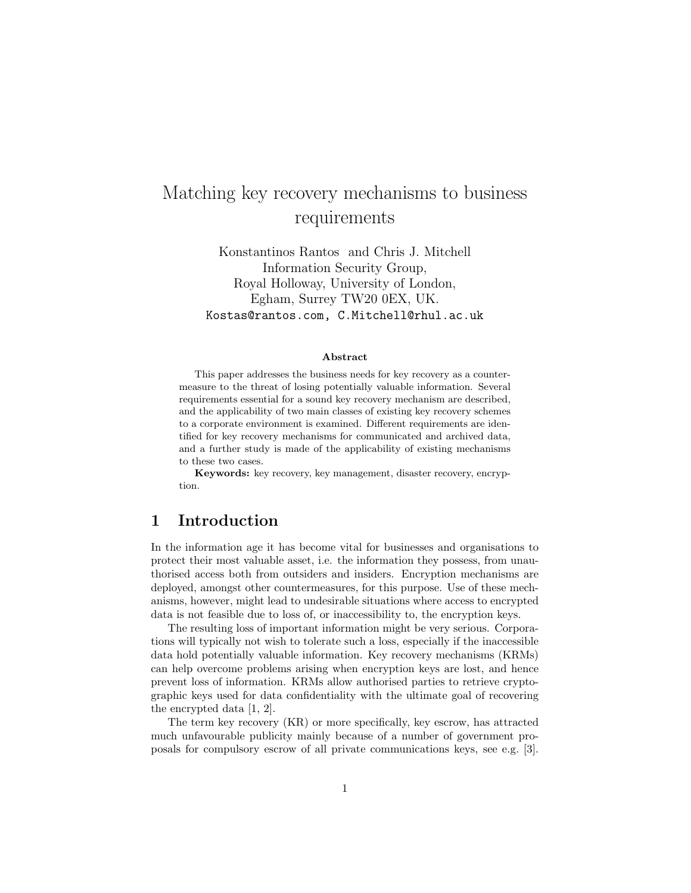# Matching key recovery mechanisms to business requirements

Konstantinos Rantos and Chris J. Mitchell Information Security Group, Royal Holloway, University of London, Egham, Surrey TW20 0EX, UK. Kostas@rantos.com, C.Mitchell@rhul.ac.uk

#### Abstract

This paper addresses the business needs for key recovery as a countermeasure to the threat of losing potentially valuable information. Several requirements essential for a sound key recovery mechanism are described, and the applicability of two main classes of existing key recovery schemes to a corporate environment is examined. Different requirements are identified for key recovery mechanisms for communicated and archived data, and a further study is made of the applicability of existing mechanisms to these two cases.

Keywords: key recovery, key management, disaster recovery, encryption.

## 1 Introduction

In the information age it has become vital for businesses and organisations to protect their most valuable asset, i.e. the information they possess, from unauthorised access both from outsiders and insiders. Encryption mechanisms are deployed, amongst other countermeasures, for this purpose. Use of these mechanisms, however, might lead to undesirable situations where access to encrypted data is not feasible due to loss of, or inaccessibility to, the encryption keys.

The resulting loss of important information might be very serious. Corporations will typically not wish to tolerate such a loss, especially if the inaccessible data hold potentially valuable information. Key recovery mechanisms (KRMs) can help overcome problems arising when encryption keys are lost, and hence prevent loss of information. KRMs allow authorised parties to retrieve cryptographic keys used for data confidentiality with the ultimate goal of recovering the encrypted data [1, 2].

The term key recovery (KR) or more specifically, key escrow, has attracted much unfavourable publicity mainly because of a number of government proposals for compulsory escrow of all private communications keys, see e.g. [3].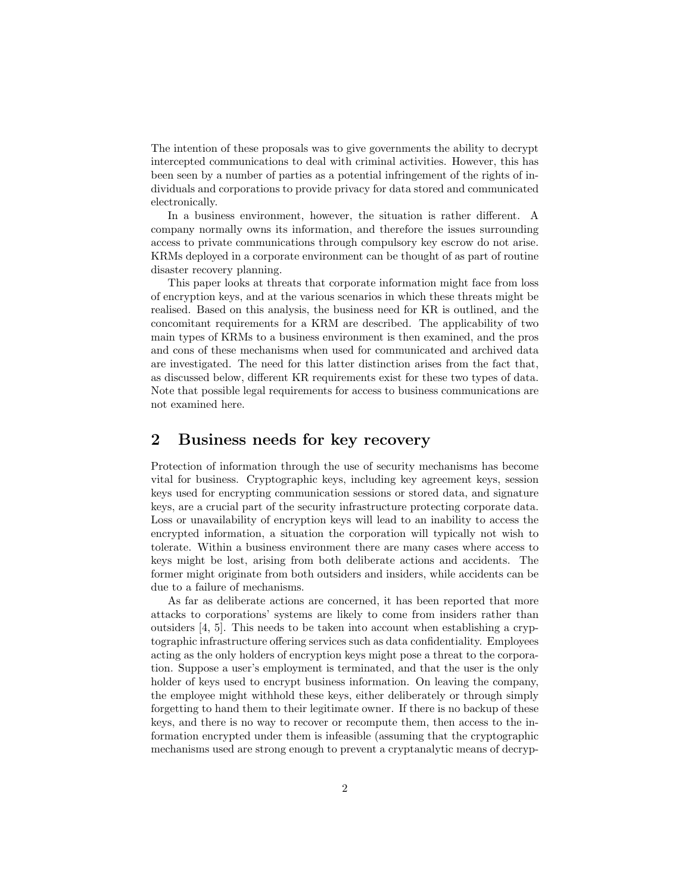The intention of these proposals was to give governments the ability to decrypt intercepted communications to deal with criminal activities. However, this has been seen by a number of parties as a potential infringement of the rights of individuals and corporations to provide privacy for data stored and communicated electronically.

In a business environment, however, the situation is rather different. A company normally owns its information, and therefore the issues surrounding access to private communications through compulsory key escrow do not arise. KRMs deployed in a corporate environment can be thought of as part of routine disaster recovery planning.

This paper looks at threats that corporate information might face from loss of encryption keys, and at the various scenarios in which these threats might be realised. Based on this analysis, the business need for KR is outlined, and the concomitant requirements for a KRM are described. The applicability of two main types of KRMs to a business environment is then examined, and the pros and cons of these mechanisms when used for communicated and archived data are investigated. The need for this latter distinction arises from the fact that, as discussed below, different KR requirements exist for these two types of data. Note that possible legal requirements for access to business communications are not examined here.

## 2 Business needs for key recovery

Protection of information through the use of security mechanisms has become vital for business. Cryptographic keys, including key agreement keys, session keys used for encrypting communication sessions or stored data, and signature keys, are a crucial part of the security infrastructure protecting corporate data. Loss or unavailability of encryption keys will lead to an inability to access the encrypted information, a situation the corporation will typically not wish to tolerate. Within a business environment there are many cases where access to keys might be lost, arising from both deliberate actions and accidents. The former might originate from both outsiders and insiders, while accidents can be due to a failure of mechanisms.

As far as deliberate actions are concerned, it has been reported that more attacks to corporations' systems are likely to come from insiders rather than outsiders [4, 5]. This needs to be taken into account when establishing a cryptographic infrastructure offering services such as data confidentiality. Employees acting as the only holders of encryption keys might pose a threat to the corporation. Suppose a user's employment is terminated, and that the user is the only holder of keys used to encrypt business information. On leaving the company, the employee might withhold these keys, either deliberately or through simply forgetting to hand them to their legitimate owner. If there is no backup of these keys, and there is no way to recover or recompute them, then access to the information encrypted under them is infeasible (assuming that the cryptographic mechanisms used are strong enough to prevent a cryptanalytic means of decryp-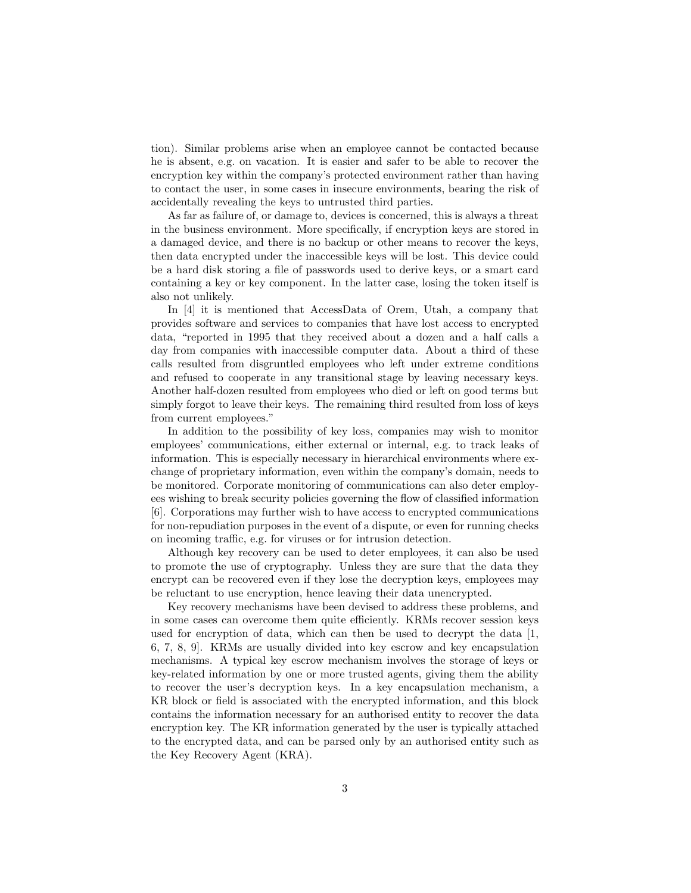tion). Similar problems arise when an employee cannot be contacted because he is absent, e.g. on vacation. It is easier and safer to be able to recover the encryption key within the company's protected environment rather than having to contact the user, in some cases in insecure environments, bearing the risk of accidentally revealing the keys to untrusted third parties.

As far as failure of, or damage to, devices is concerned, this is always a threat in the business environment. More specifically, if encryption keys are stored in a damaged device, and there is no backup or other means to recover the keys, then data encrypted under the inaccessible keys will be lost. This device could be a hard disk storing a file of passwords used to derive keys, or a smart card containing a key or key component. In the latter case, losing the token itself is also not unlikely.

In [4] it is mentioned that AccessData of Orem, Utah, a company that provides software and services to companies that have lost access to encrypted data, "reported in 1995 that they received about a dozen and a half calls a day from companies with inaccessible computer data. About a third of these calls resulted from disgruntled employees who left under extreme conditions and refused to cooperate in any transitional stage by leaving necessary keys. Another half-dozen resulted from employees who died or left on good terms but simply forgot to leave their keys. The remaining third resulted from loss of keys from current employees."

In addition to the possibility of key loss, companies may wish to monitor employees' communications, either external or internal, e.g. to track leaks of information. This is especially necessary in hierarchical environments where exchange of proprietary information, even within the company's domain, needs to be monitored. Corporate monitoring of communications can also deter employees wishing to break security policies governing the flow of classified information [6]. Corporations may further wish to have access to encrypted communications for non-repudiation purposes in the event of a dispute, or even for running checks on incoming traffic, e.g. for viruses or for intrusion detection.

Although key recovery can be used to deter employees, it can also be used to promote the use of cryptography. Unless they are sure that the data they encrypt can be recovered even if they lose the decryption keys, employees may be reluctant to use encryption, hence leaving their data unencrypted.

Key recovery mechanisms have been devised to address these problems, and in some cases can overcome them quite efficiently. KRMs recover session keys used for encryption of data, which can then be used to decrypt the data [1, 6, 7, 8, 9]. KRMs are usually divided into key escrow and key encapsulation mechanisms. A typical key escrow mechanism involves the storage of keys or key-related information by one or more trusted agents, giving them the ability to recover the user's decryption keys. In a key encapsulation mechanism, a KR block or field is associated with the encrypted information, and this block contains the information necessary for an authorised entity to recover the data encryption key. The KR information generated by the user is typically attached to the encrypted data, and can be parsed only by an authorised entity such as the Key Recovery Agent (KRA).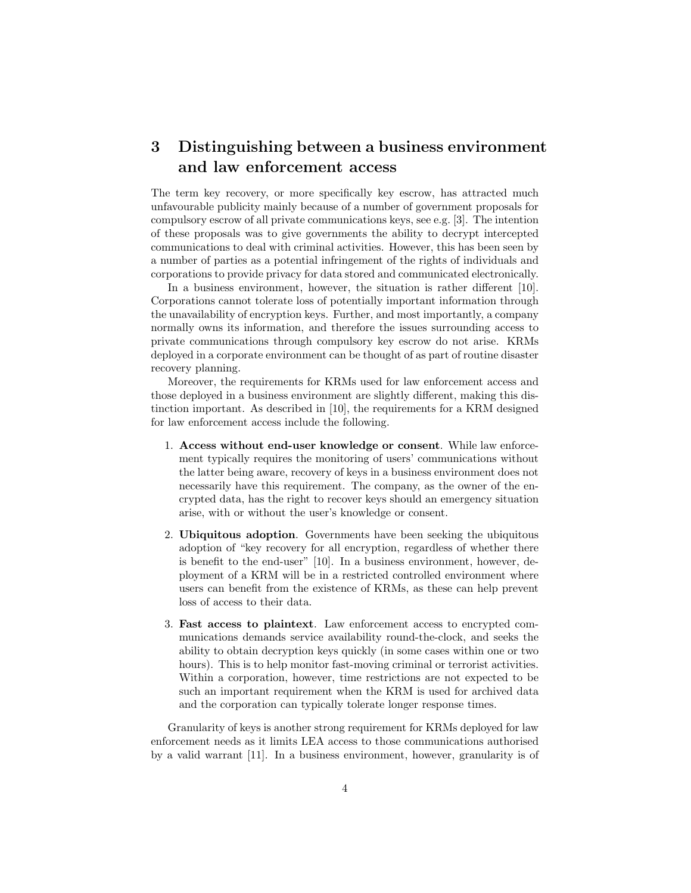## 3 Distinguishing between a business environment and law enforcement access

The term key recovery, or more specifically key escrow, has attracted much unfavourable publicity mainly because of a number of government proposals for compulsory escrow of all private communications keys, see e.g. [3]. The intention of these proposals was to give governments the ability to decrypt intercepted communications to deal with criminal activities. However, this has been seen by a number of parties as a potential infringement of the rights of individuals and corporations to provide privacy for data stored and communicated electronically.

In a business environment, however, the situation is rather different [10]. Corporations cannot tolerate loss of potentially important information through the unavailability of encryption keys. Further, and most importantly, a company normally owns its information, and therefore the issues surrounding access to private communications through compulsory key escrow do not arise. KRMs deployed in a corporate environment can be thought of as part of routine disaster recovery planning.

Moreover, the requirements for KRMs used for law enforcement access and those deployed in a business environment are slightly different, making this distinction important. As described in [10], the requirements for a KRM designed for law enforcement access include the following.

- 1. Access without end-user knowledge or consent. While law enforcement typically requires the monitoring of users' communications without the latter being aware, recovery of keys in a business environment does not necessarily have this requirement. The company, as the owner of the encrypted data, has the right to recover keys should an emergency situation arise, with or without the user's knowledge or consent.
- 2. Ubiquitous adoption. Governments have been seeking the ubiquitous adoption of "key recovery for all encryption, regardless of whether there is benefit to the end-user" [10]. In a business environment, however, deployment of a KRM will be in a restricted controlled environment where users can benefit from the existence of KRMs, as these can help prevent loss of access to their data.
- 3. Fast access to plaintext. Law enforcement access to encrypted communications demands service availability round-the-clock, and seeks the ability to obtain decryption keys quickly (in some cases within one or two hours). This is to help monitor fast-moving criminal or terrorist activities. Within a corporation, however, time restrictions are not expected to be such an important requirement when the KRM is used for archived data and the corporation can typically tolerate longer response times.

Granularity of keys is another strong requirement for KRMs deployed for law enforcement needs as it limits LEA access to those communications authorised by a valid warrant [11]. In a business environment, however, granularity is of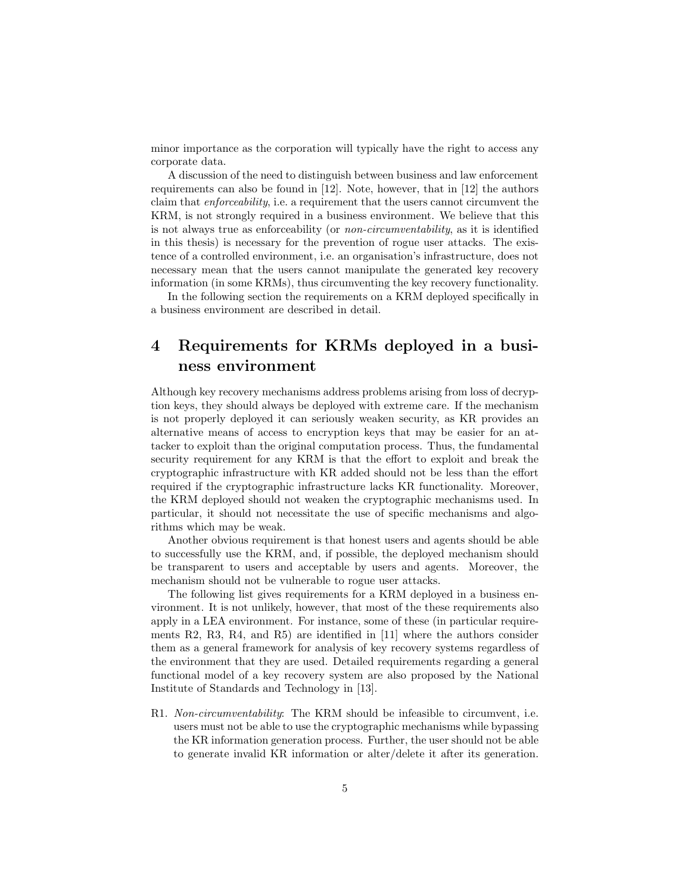minor importance as the corporation will typically have the right to access any corporate data.

A discussion of the need to distinguish between business and law enforcement requirements can also be found in [12]. Note, however, that in [12] the authors claim that enforceability, i.e. a requirement that the users cannot circumvent the KRM, is not strongly required in a business environment. We believe that this is not always true as enforceability (or non-circumventability, as it is identified in this thesis) is necessary for the prevention of rogue user attacks. The existence of a controlled environment, i.e. an organisation's infrastructure, does not necessary mean that the users cannot manipulate the generated key recovery information (in some KRMs), thus circumventing the key recovery functionality.

In the following section the requirements on a KRM deployed specifically in a business environment are described in detail.

## 4 Requirements for KRMs deployed in a business environment

Although key recovery mechanisms address problems arising from loss of decryption keys, they should always be deployed with extreme care. If the mechanism is not properly deployed it can seriously weaken security, as KR provides an alternative means of access to encryption keys that may be easier for an attacker to exploit than the original computation process. Thus, the fundamental security requirement for any KRM is that the effort to exploit and break the cryptographic infrastructure with KR added should not be less than the effort required if the cryptographic infrastructure lacks KR functionality. Moreover, the KRM deployed should not weaken the cryptographic mechanisms used. In particular, it should not necessitate the use of specific mechanisms and algorithms which may be weak.

Another obvious requirement is that honest users and agents should be able to successfully use the KRM, and, if possible, the deployed mechanism should be transparent to users and acceptable by users and agents. Moreover, the mechanism should not be vulnerable to rogue user attacks.

The following list gives requirements for a KRM deployed in a business environment. It is not unlikely, however, that most of the these requirements also apply in a LEA environment. For instance, some of these (in particular requirements R2, R3, R4, and R5) are identified in [11] where the authors consider them as a general framework for analysis of key recovery systems regardless of the environment that they are used. Detailed requirements regarding a general functional model of a key recovery system are also proposed by the National Institute of Standards and Technology in [13].

R1. Non-circumventability: The KRM should be infeasible to circumvent, i.e. users must not be able to use the cryptographic mechanisms while bypassing the KR information generation process. Further, the user should not be able to generate invalid KR information or alter/delete it after its generation.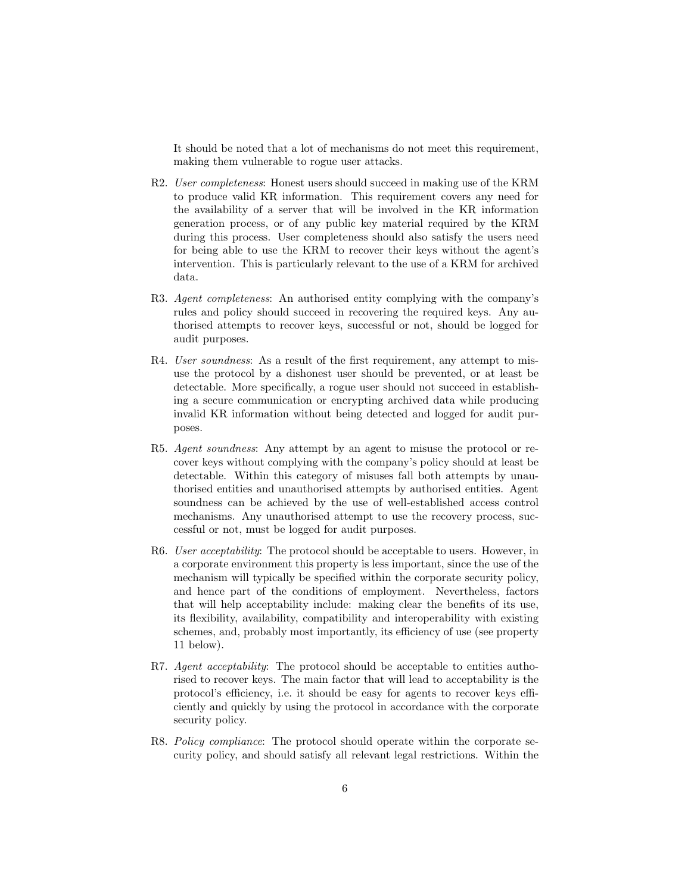It should be noted that a lot of mechanisms do not meet this requirement, making them vulnerable to rogue user attacks.

- R2. User completeness: Honest users should succeed in making use of the KRM to produce valid KR information. This requirement covers any need for the availability of a server that will be involved in the KR information generation process, or of any public key material required by the KRM during this process. User completeness should also satisfy the users need for being able to use the KRM to recover their keys without the agent's intervention. This is particularly relevant to the use of a KRM for archived data.
- R3. Agent completeness: An authorised entity complying with the company's rules and policy should succeed in recovering the required keys. Any authorised attempts to recover keys, successful or not, should be logged for audit purposes.
- R4. User soundness: As a result of the first requirement, any attempt to misuse the protocol by a dishonest user should be prevented, or at least be detectable. More specifically, a rogue user should not succeed in establishing a secure communication or encrypting archived data while producing invalid KR information without being detected and logged for audit purposes.
- R5. Agent soundness: Any attempt by an agent to misuse the protocol or recover keys without complying with the company's policy should at least be detectable. Within this category of misuses fall both attempts by unauthorised entities and unauthorised attempts by authorised entities. Agent soundness can be achieved by the use of well-established access control mechanisms. Any unauthorised attempt to use the recovery process, successful or not, must be logged for audit purposes.
- R6. User acceptability: The protocol should be acceptable to users. However, in a corporate environment this property is less important, since the use of the mechanism will typically be specified within the corporate security policy, and hence part of the conditions of employment. Nevertheless, factors that will help acceptability include: making clear the benefits of its use, its flexibility, availability, compatibility and interoperability with existing schemes, and, probably most importantly, its efficiency of use (see property 11 below).
- R7. Agent acceptability: The protocol should be acceptable to entities authorised to recover keys. The main factor that will lead to acceptability is the protocol's efficiency, i.e. it should be easy for agents to recover keys efficiently and quickly by using the protocol in accordance with the corporate security policy.
- R8. Policy compliance: The protocol should operate within the corporate security policy, and should satisfy all relevant legal restrictions. Within the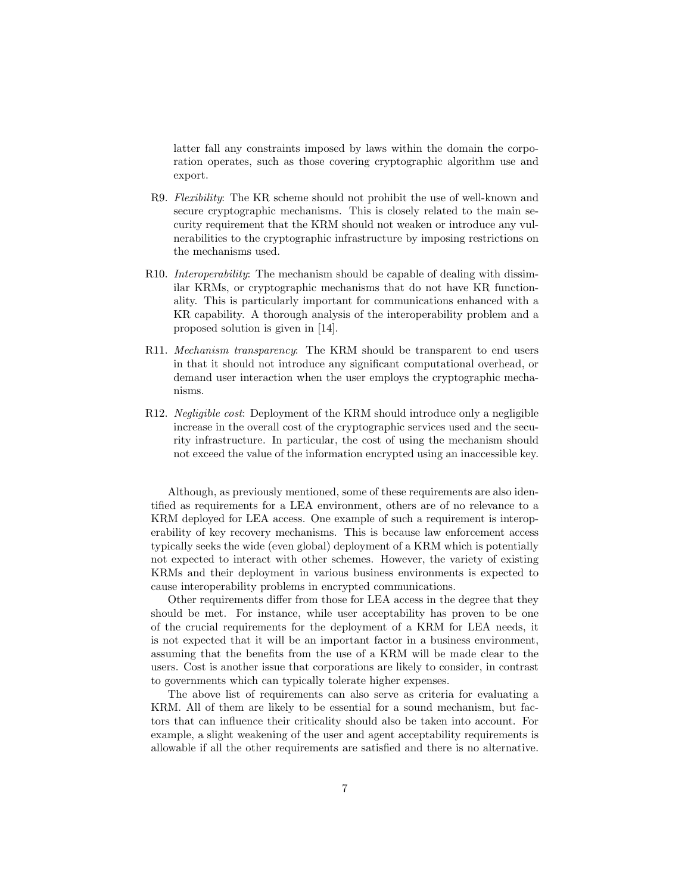latter fall any constraints imposed by laws within the domain the corporation operates, such as those covering cryptographic algorithm use and export.

- R9. Flexibility: The KR scheme should not prohibit the use of well-known and secure cryptographic mechanisms. This is closely related to the main security requirement that the KRM should not weaken or introduce any vulnerabilities to the cryptographic infrastructure by imposing restrictions on the mechanisms used.
- R10. Interoperability: The mechanism should be capable of dealing with dissimilar KRMs, or cryptographic mechanisms that do not have KR functionality. This is particularly important for communications enhanced with a KR capability. A thorough analysis of the interoperability problem and a proposed solution is given in [14].
- R11. Mechanism transparency: The KRM should be transparent to end users in that it should not introduce any significant computational overhead, or demand user interaction when the user employs the cryptographic mechanisms.
- R12. Negligible cost: Deployment of the KRM should introduce only a negligible increase in the overall cost of the cryptographic services used and the security infrastructure. In particular, the cost of using the mechanism should not exceed the value of the information encrypted using an inaccessible key.

Although, as previously mentioned, some of these requirements are also identified as requirements for a LEA environment, others are of no relevance to a KRM deployed for LEA access. One example of such a requirement is interoperability of key recovery mechanisms. This is because law enforcement access typically seeks the wide (even global) deployment of a KRM which is potentially not expected to interact with other schemes. However, the variety of existing KRMs and their deployment in various business environments is expected to cause interoperability problems in encrypted communications.

Other requirements differ from those for LEA access in the degree that they should be met. For instance, while user acceptability has proven to be one of the crucial requirements for the deployment of a KRM for LEA needs, it is not expected that it will be an important factor in a business environment, assuming that the benefits from the use of a KRM will be made clear to the users. Cost is another issue that corporations are likely to consider, in contrast to governments which can typically tolerate higher expenses.

The above list of requirements can also serve as criteria for evaluating a KRM. All of them are likely to be essential for a sound mechanism, but factors that can influence their criticality should also be taken into account. For example, a slight weakening of the user and agent acceptability requirements is allowable if all the other requirements are satisfied and there is no alternative.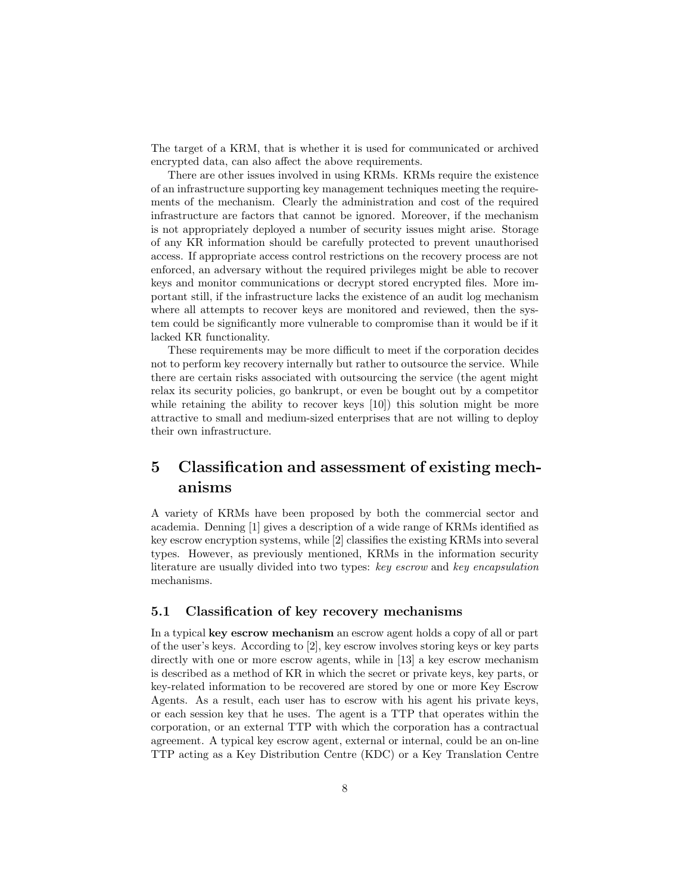The target of a KRM, that is whether it is used for communicated or archived encrypted data, can also affect the above requirements.

There are other issues involved in using KRMs. KRMs require the existence of an infrastructure supporting key management techniques meeting the requirements of the mechanism. Clearly the administration and cost of the required infrastructure are factors that cannot be ignored. Moreover, if the mechanism is not appropriately deployed a number of security issues might arise. Storage of any KR information should be carefully protected to prevent unauthorised access. If appropriate access control restrictions on the recovery process are not enforced, an adversary without the required privileges might be able to recover keys and monitor communications or decrypt stored encrypted files. More important still, if the infrastructure lacks the existence of an audit log mechanism where all attempts to recover keys are monitored and reviewed, then the system could be significantly more vulnerable to compromise than it would be if it lacked KR functionality.

These requirements may be more difficult to meet if the corporation decides not to perform key recovery internally but rather to outsource the service. While there are certain risks associated with outsourcing the service (the agent might relax its security policies, go bankrupt, or even be bought out by a competitor while retaining the ability to recover keys  $[10]$ ) this solution might be more attractive to small and medium-sized enterprises that are not willing to deploy their own infrastructure.

## 5 Classification and assessment of existing mechanisms

A variety of KRMs have been proposed by both the commercial sector and academia. Denning [1] gives a description of a wide range of KRMs identified as key escrow encryption systems, while [2] classifies the existing KRMs into several types. However, as previously mentioned, KRMs in the information security literature are usually divided into two types: key escrow and key encapsulation mechanisms.

### 5.1 Classification of key recovery mechanisms

In a typical key escrow mechanism an escrow agent holds a copy of all or part of the user's keys. According to [2], key escrow involves storing keys or key parts directly with one or more escrow agents, while in [13] a key escrow mechanism is described as a method of KR in which the secret or private keys, key parts, or key-related information to be recovered are stored by one or more Key Escrow Agents. As a result, each user has to escrow with his agent his private keys, or each session key that he uses. The agent is a TTP that operates within the corporation, or an external TTP with which the corporation has a contractual agreement. A typical key escrow agent, external or internal, could be an on-line TTP acting as a Key Distribution Centre (KDC) or a Key Translation Centre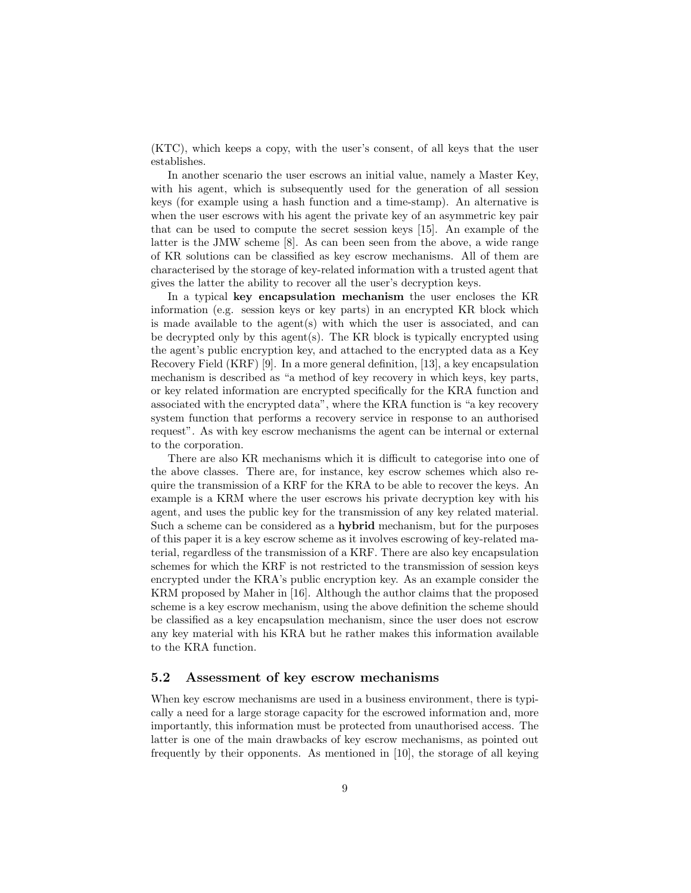(KTC), which keeps a copy, with the user's consent, of all keys that the user establishes.

In another scenario the user escrows an initial value, namely a Master Key, with his agent, which is subsequently used for the generation of all session keys (for example using a hash function and a time-stamp). An alternative is when the user escrows with his agent the private key of an asymmetric key pair that can be used to compute the secret session keys [15]. An example of the latter is the JMW scheme [8]. As can been seen from the above, a wide range of KR solutions can be classified as key escrow mechanisms. All of them are characterised by the storage of key-related information with a trusted agent that gives the latter the ability to recover all the user's decryption keys.

In a typical key encapsulation mechanism the user encloses the KR information (e.g. session keys or key parts) in an encrypted KR block which is made available to the agent(s) with which the user is associated, and can be decrypted only by this agent(s). The KR block is typically encrypted using the agent's public encryption key, and attached to the encrypted data as a Key Recovery Field (KRF) [9]. In a more general definition, [13], a key encapsulation mechanism is described as "a method of key recovery in which keys, key parts, or key related information are encrypted specifically for the KRA function and associated with the encrypted data", where the KRA function is "a key recovery system function that performs a recovery service in response to an authorised request". As with key escrow mechanisms the agent can be internal or external to the corporation.

There are also KR mechanisms which it is difficult to categorise into one of the above classes. There are, for instance, key escrow schemes which also require the transmission of a KRF for the KRA to be able to recover the keys. An example is a KRM where the user escrows his private decryption key with his agent, and uses the public key for the transmission of any key related material. Such a scheme can be considered as a hybrid mechanism, but for the purposes of this paper it is a key escrow scheme as it involves escrowing of key-related material, regardless of the transmission of a KRF. There are also key encapsulation schemes for which the KRF is not restricted to the transmission of session keys encrypted under the KRA's public encryption key. As an example consider the KRM proposed by Maher in [16]. Although the author claims that the proposed scheme is a key escrow mechanism, using the above definition the scheme should be classified as a key encapsulation mechanism, since the user does not escrow any key material with his KRA but he rather makes this information available to the KRA function.

#### 5.2 Assessment of key escrow mechanisms

When key escrow mechanisms are used in a business environment, there is typically a need for a large storage capacity for the escrowed information and, more importantly, this information must be protected from unauthorised access. The latter is one of the main drawbacks of key escrow mechanisms, as pointed out frequently by their opponents. As mentioned in [10], the storage of all keying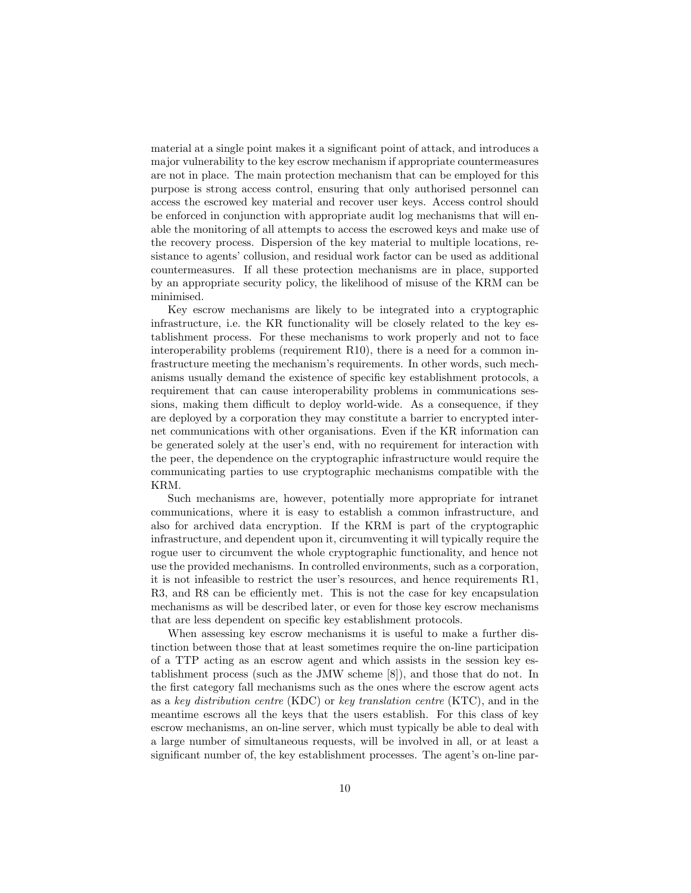material at a single point makes it a significant point of attack, and introduces a major vulnerability to the key escrow mechanism if appropriate countermeasures are not in place. The main protection mechanism that can be employed for this purpose is strong access control, ensuring that only authorised personnel can access the escrowed key material and recover user keys. Access control should be enforced in conjunction with appropriate audit log mechanisms that will enable the monitoring of all attempts to access the escrowed keys and make use of the recovery process. Dispersion of the key material to multiple locations, resistance to agents' collusion, and residual work factor can be used as additional countermeasures. If all these protection mechanisms are in place, supported by an appropriate security policy, the likelihood of misuse of the KRM can be minimised.

Key escrow mechanisms are likely to be integrated into a cryptographic infrastructure, i.e. the KR functionality will be closely related to the key establishment process. For these mechanisms to work properly and not to face interoperability problems (requirement R10), there is a need for a common infrastructure meeting the mechanism's requirements. In other words, such mechanisms usually demand the existence of specific key establishment protocols, a requirement that can cause interoperability problems in communications sessions, making them difficult to deploy world-wide. As a consequence, if they are deployed by a corporation they may constitute a barrier to encrypted internet communications with other organisations. Even if the KR information can be generated solely at the user's end, with no requirement for interaction with the peer, the dependence on the cryptographic infrastructure would require the communicating parties to use cryptographic mechanisms compatible with the KRM.

Such mechanisms are, however, potentially more appropriate for intranet communications, where it is easy to establish a common infrastructure, and also for archived data encryption. If the KRM is part of the cryptographic infrastructure, and dependent upon it, circumventing it will typically require the rogue user to circumvent the whole cryptographic functionality, and hence not use the provided mechanisms. In controlled environments, such as a corporation, it is not infeasible to restrict the user's resources, and hence requirements R1, R3, and R8 can be efficiently met. This is not the case for key encapsulation mechanisms as will be described later, or even for those key escrow mechanisms that are less dependent on specific key establishment protocols.

When assessing key escrow mechanisms it is useful to make a further distinction between those that at least sometimes require the on-line participation of a TTP acting as an escrow agent and which assists in the session key establishment process (such as the JMW scheme [8]), and those that do not. In the first category fall mechanisms such as the ones where the escrow agent acts as a key distribution centre (KDC) or key translation centre (KTC), and in the meantime escrows all the keys that the users establish. For this class of key escrow mechanisms, an on-line server, which must typically be able to deal with a large number of simultaneous requests, will be involved in all, or at least a significant number of, the key establishment processes. The agent's on-line par-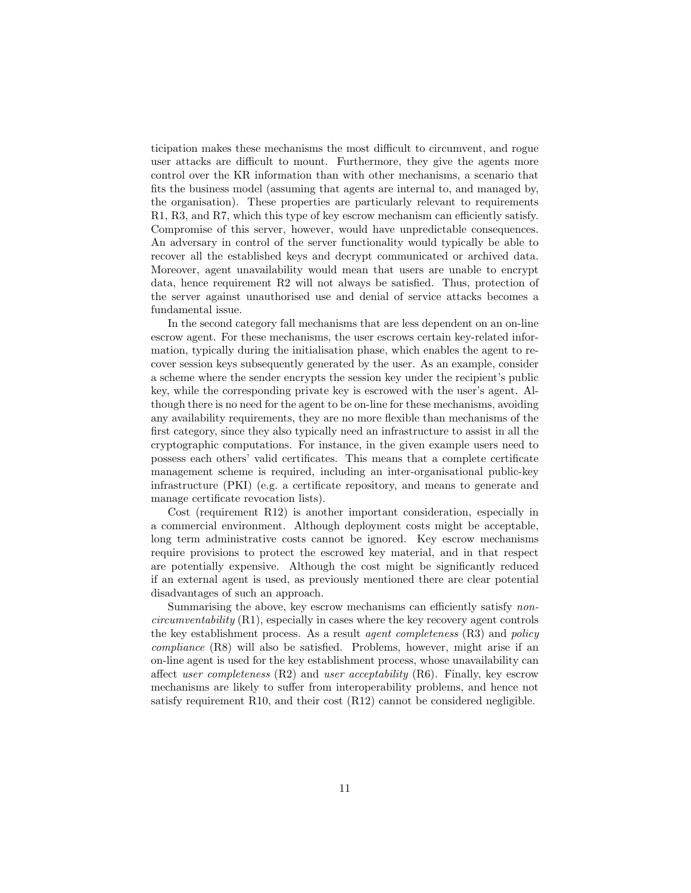ticipation makes these mechanisms the most difficult to circumvent, and rogue user attacks are difficult to mount. Furthermore, they give the agents more control over the KR information than with other mechanisms, a scenario that fits the business model (assuming that agents are internal to, and managed by, the organisation). These properties are particularly relevant to requirements R1, R3, and R7, which this type of key escrow mechanism can efficiently satisfy. Compromise of this server, however, would have unpredictable consequences. An adversary in control of the server functionality would typically be able to recover all the established keys and decrypt communicated or archived data. Moreover, agent unavailability would mean that users are unable to encrypt data, hence requirement R2 will not always be satisfied. Thus, protection of the server against unauthorised use and denial of service attacks becomes a fundamental issue.

In the second category fall mechanisms that are less dependent on an on-line escrow agent. For these mechanisms, the user escrows certain key-related information, typically during the initialisation phase, which enables the agent to recover session keys subsequently generated by the user. As an example, consider a scheme where the sender encrypts the session key under the recipient's public key, while the corresponding private key is escrowed with the user's agent. Although there is no need for the agent to be on-line for these mechanisms, avoiding any availability requirements, they are no more flexible than mechanisms of the first category, since they also typically need an infrastructure to assist in all the cryptographic computations. For instance, in the given example users need to possess each others' valid certificates. This means that a complete certificate management scheme is required, including an inter-organisational public-key infrastructure (PKI) (e.g. a certificate repository, and means to generate and manage certificate revocation lists).

Cost (requirement R12) is another important consideration, especially in a commercial environment. Although deployment costs might be acceptable, long term administrative costs cannot be ignored. Key escrow mechanisms require provisions to protect the escrowed key material, and in that respect are potentially expensive. Although the cost might be significantly reduced if an external agent is used, as previously mentioned there are clear potential disadvantages of such an approach.

Summarising the above, key escrow mechanisms can efficiently satisfy noncircumventability (R1), especially in cases where the key recovery agent controls the key establishment process. As a result *agent completeness*  $(R3)$  and *policy* compliance (R8) will also be satisfied. Problems, however, might arise if an on-line agent is used for the key establishment process, whose unavailability can affect user completeness  $(R2)$  and user acceptability  $(R6)$ . Finally, key escrow mechanisms are likely to suffer from interoperability problems, and hence not satisfy requirement R10, and their cost (R12) cannot be considered negligible.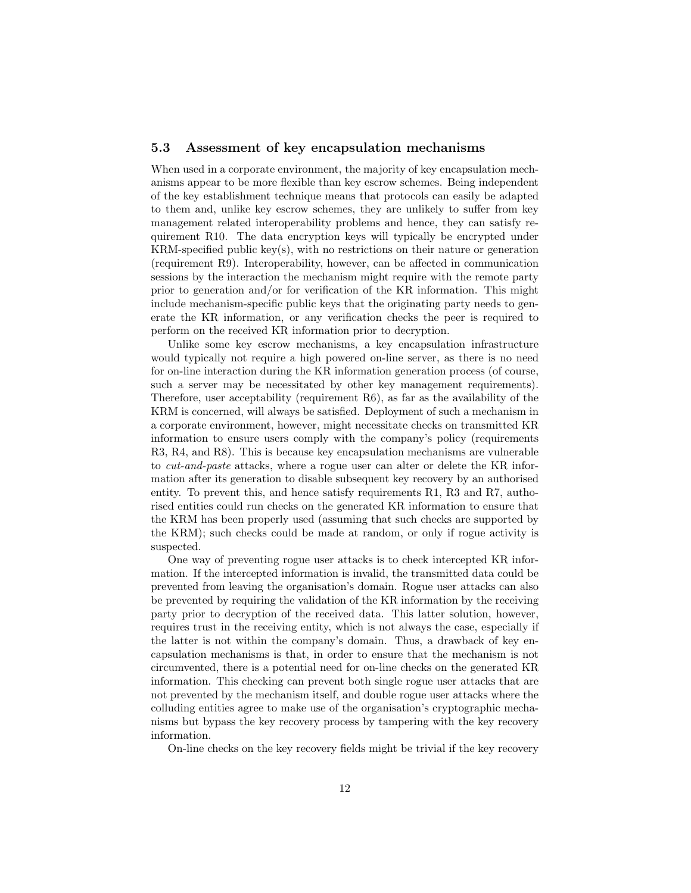#### 5.3 Assessment of key encapsulation mechanisms

When used in a corporate environment, the majority of key encapsulation mechanisms appear to be more flexible than key escrow schemes. Being independent of the key establishment technique means that protocols can easily be adapted to them and, unlike key escrow schemes, they are unlikely to suffer from key management related interoperability problems and hence, they can satisfy requirement R10. The data encryption keys will typically be encrypted under KRM-specified public key(s), with no restrictions on their nature or generation (requirement R9). Interoperability, however, can be affected in communication sessions by the interaction the mechanism might require with the remote party prior to generation and/or for verification of the KR information. This might include mechanism-specific public keys that the originating party needs to generate the KR information, or any verification checks the peer is required to perform on the received KR information prior to decryption.

Unlike some key escrow mechanisms, a key encapsulation infrastructure would typically not require a high powered on-line server, as there is no need for on-line interaction during the KR information generation process (of course, such a server may be necessitated by other key management requirements). Therefore, user acceptability (requirement  $R6$ ), as far as the availability of the KRM is concerned, will always be satisfied. Deployment of such a mechanism in a corporate environment, however, might necessitate checks on transmitted KR information to ensure users comply with the company's policy (requirements R3, R4, and R8). This is because key encapsulation mechanisms are vulnerable to cut-and-paste attacks, where a rogue user can alter or delete the KR information after its generation to disable subsequent key recovery by an authorised entity. To prevent this, and hence satisfy requirements R1, R3 and R7, authorised entities could run checks on the generated KR information to ensure that the KRM has been properly used (assuming that such checks are supported by the KRM); such checks could be made at random, or only if rogue activity is suspected.

One way of preventing rogue user attacks is to check intercepted KR information. If the intercepted information is invalid, the transmitted data could be prevented from leaving the organisation's domain. Rogue user attacks can also be prevented by requiring the validation of the KR information by the receiving party prior to decryption of the received data. This latter solution, however, requires trust in the receiving entity, which is not always the case, especially if the latter is not within the company's domain. Thus, a drawback of key encapsulation mechanisms is that, in order to ensure that the mechanism is not circumvented, there is a potential need for on-line checks on the generated KR information. This checking can prevent both single rogue user attacks that are not prevented by the mechanism itself, and double rogue user attacks where the colluding entities agree to make use of the organisation's cryptographic mechanisms but bypass the key recovery process by tampering with the key recovery information.

On-line checks on the key recovery fields might be trivial if the key recovery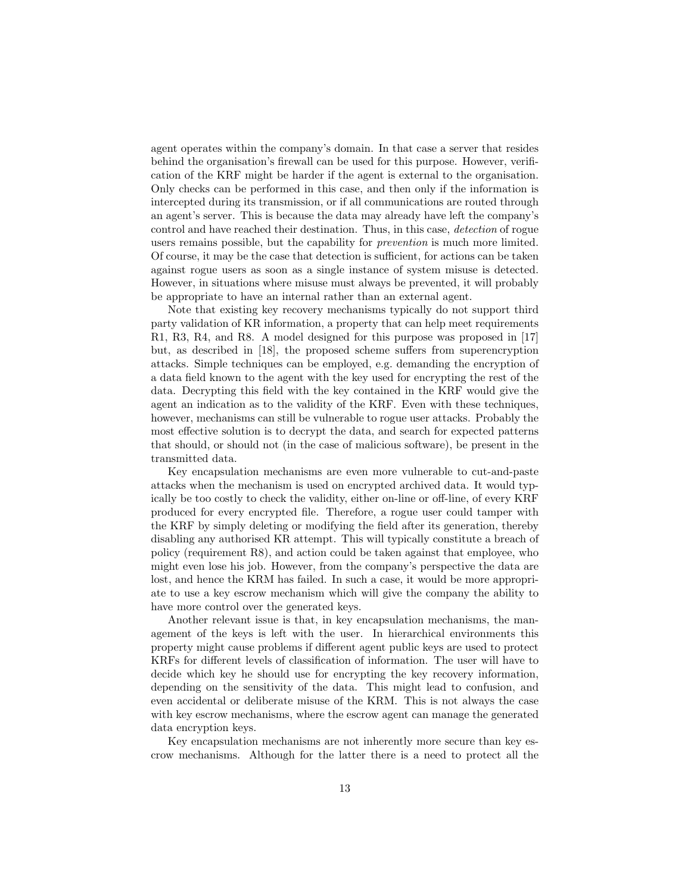agent operates within the company's domain. In that case a server that resides behind the organisation's firewall can be used for this purpose. However, verification of the KRF might be harder if the agent is external to the organisation. Only checks can be performed in this case, and then only if the information is intercepted during its transmission, or if all communications are routed through an agent's server. This is because the data may already have left the company's control and have reached their destination. Thus, in this case, detection of rogue users remains possible, but the capability for prevention is much more limited. Of course, it may be the case that detection is sufficient, for actions can be taken against rogue users as soon as a single instance of system misuse is detected. However, in situations where misuse must always be prevented, it will probably be appropriate to have an internal rather than an external agent.

Note that existing key recovery mechanisms typically do not support third party validation of KR information, a property that can help meet requirements R1, R3, R4, and R8. A model designed for this purpose was proposed in [17] but, as described in [18], the proposed scheme suffers from superencryption attacks. Simple techniques can be employed, e.g. demanding the encryption of a data field known to the agent with the key used for encrypting the rest of the data. Decrypting this field with the key contained in the KRF would give the agent an indication as to the validity of the KRF. Even with these techniques, however, mechanisms can still be vulnerable to rogue user attacks. Probably the most effective solution is to decrypt the data, and search for expected patterns that should, or should not (in the case of malicious software), be present in the transmitted data.

Key encapsulation mechanisms are even more vulnerable to cut-and-paste attacks when the mechanism is used on encrypted archived data. It would typically be too costly to check the validity, either on-line or off-line, of every KRF produced for every encrypted file. Therefore, a rogue user could tamper with the KRF by simply deleting or modifying the field after its generation, thereby disabling any authorised KR attempt. This will typically constitute a breach of policy (requirement R8), and action could be taken against that employee, who might even lose his job. However, from the company's perspective the data are lost, and hence the KRM has failed. In such a case, it would be more appropriate to use a key escrow mechanism which will give the company the ability to have more control over the generated keys.

Another relevant issue is that, in key encapsulation mechanisms, the management of the keys is left with the user. In hierarchical environments this property might cause problems if different agent public keys are used to protect KRFs for different levels of classification of information. The user will have to decide which key he should use for encrypting the key recovery information, depending on the sensitivity of the data. This might lead to confusion, and even accidental or deliberate misuse of the KRM. This is not always the case with key escrow mechanisms, where the escrow agent can manage the generated data encryption keys.

Key encapsulation mechanisms are not inherently more secure than key escrow mechanisms. Although for the latter there is a need to protect all the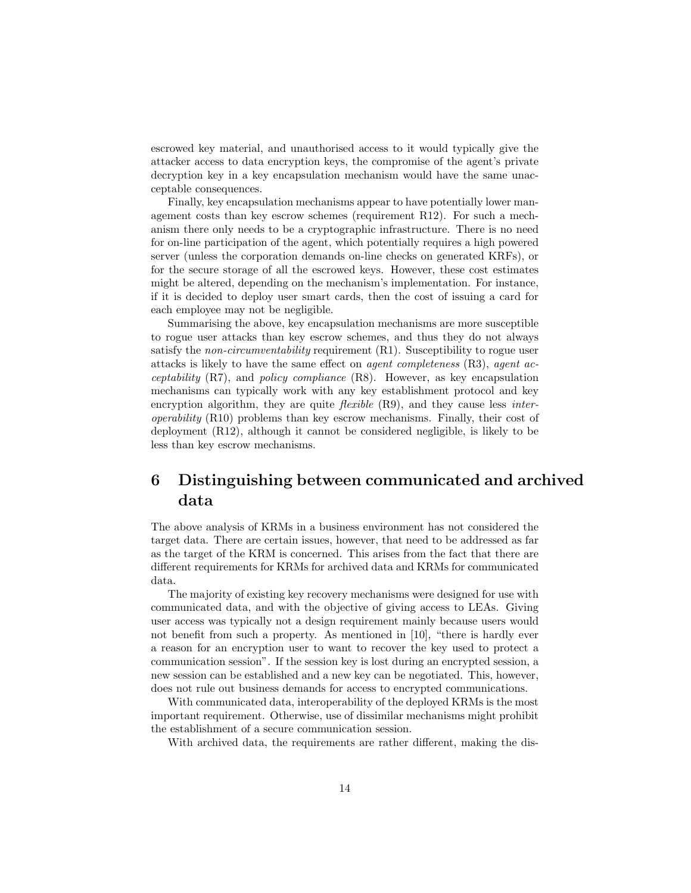escrowed key material, and unauthorised access to it would typically give the attacker access to data encryption keys, the compromise of the agent's private decryption key in a key encapsulation mechanism would have the same unacceptable consequences.

Finally, key encapsulation mechanisms appear to have potentially lower management costs than key escrow schemes (requirement R12). For such a mechanism there only needs to be a cryptographic infrastructure. There is no need for on-line participation of the agent, which potentially requires a high powered server (unless the corporation demands on-line checks on generated KRFs), or for the secure storage of all the escrowed keys. However, these cost estimates might be altered, depending on the mechanism's implementation. For instance, if it is decided to deploy user smart cards, then the cost of issuing a card for each employee may not be negligible.

Summarising the above, key encapsulation mechanisms are more susceptible to rogue user attacks than key escrow schemes, and thus they do not always satisfy the non-circumventability requirement (R1). Susceptibility to rogue user attacks is likely to have the same effect on agent completeness (R3), agent acceptability  $(R7)$ , and policy compliance  $(R8)$ . However, as key encapsulation mechanisms can typically work with any key establishment protocol and key encryption algorithm, they are quite *flexible* (R9), and they cause less *inter*operability (R10) problems than key escrow mechanisms. Finally, their cost of deployment (R12), although it cannot be considered negligible, is likely to be less than key escrow mechanisms.

## 6 Distinguishing between communicated and archived data

The above analysis of KRMs in a business environment has not considered the target data. There are certain issues, however, that need to be addressed as far as the target of the KRM is concerned. This arises from the fact that there are different requirements for KRMs for archived data and KRMs for communicated data.

The majority of existing key recovery mechanisms were designed for use with communicated data, and with the objective of giving access to LEAs. Giving user access was typically not a design requirement mainly because users would not benefit from such a property. As mentioned in [10], "there is hardly ever a reason for an encryption user to want to recover the key used to protect a communication session". If the session key is lost during an encrypted session, a new session can be established and a new key can be negotiated. This, however, does not rule out business demands for access to encrypted communications.

With communicated data, interoperability of the deployed KRMs is the most important requirement. Otherwise, use of dissimilar mechanisms might prohibit the establishment of a secure communication session.

With archived data, the requirements are rather different, making the dis-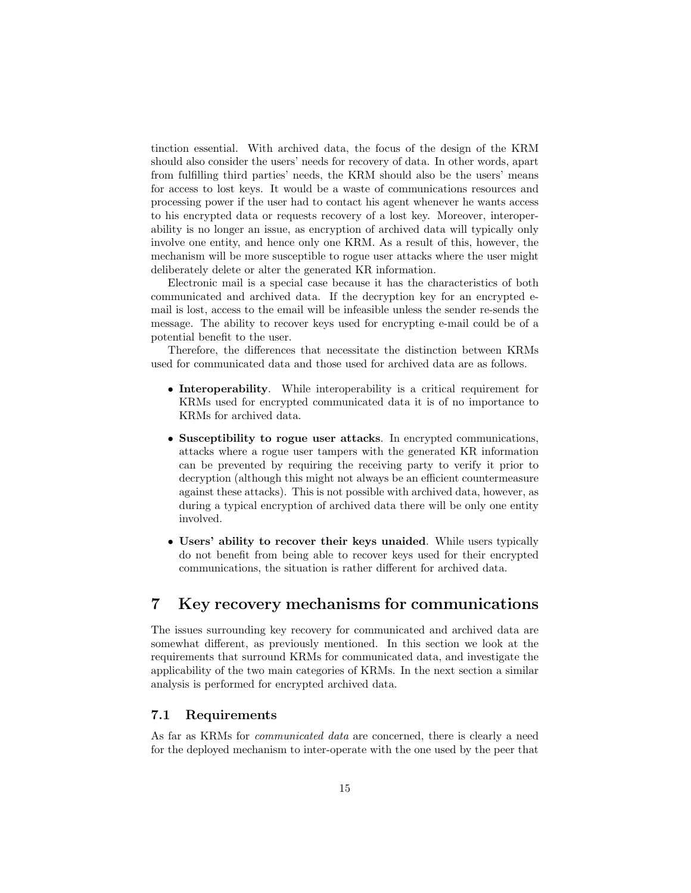tinction essential. With archived data, the focus of the design of the KRM should also consider the users' needs for recovery of data. In other words, apart from fulfilling third parties' needs, the KRM should also be the users' means for access to lost keys. It would be a waste of communications resources and processing power if the user had to contact his agent whenever he wants access to his encrypted data or requests recovery of a lost key. Moreover, interoperability is no longer an issue, as encryption of archived data will typically only involve one entity, and hence only one KRM. As a result of this, however, the mechanism will be more susceptible to rogue user attacks where the user might deliberately delete or alter the generated KR information.

Electronic mail is a special case because it has the characteristics of both communicated and archived data. If the decryption key for an encrypted email is lost, access to the email will be infeasible unless the sender re-sends the message. The ability to recover keys used for encrypting e-mail could be of a potential benefit to the user.

Therefore, the differences that necessitate the distinction between KRMs used for communicated data and those used for archived data are as follows.

- Interoperability. While interoperability is a critical requirement for KRMs used for encrypted communicated data it is of no importance to KRMs for archived data.
- Susceptibility to rogue user attacks. In encrypted communications, attacks where a rogue user tampers with the generated KR information can be prevented by requiring the receiving party to verify it prior to decryption (although this might not always be an efficient countermeasure against these attacks). This is not possible with archived data, however, as during a typical encryption of archived data there will be only one entity involved.
- Users' ability to recover their keys unaided. While users typically do not benefit from being able to recover keys used for their encrypted communications, the situation is rather different for archived data.

## 7 Key recovery mechanisms for communications

The issues surrounding key recovery for communicated and archived data are somewhat different, as previously mentioned. In this section we look at the requirements that surround KRMs for communicated data, and investigate the applicability of the two main categories of KRMs. In the next section a similar analysis is performed for encrypted archived data.

### 7.1 Requirements

As far as KRMs for communicated data are concerned, there is clearly a need for the deployed mechanism to inter-operate with the one used by the peer that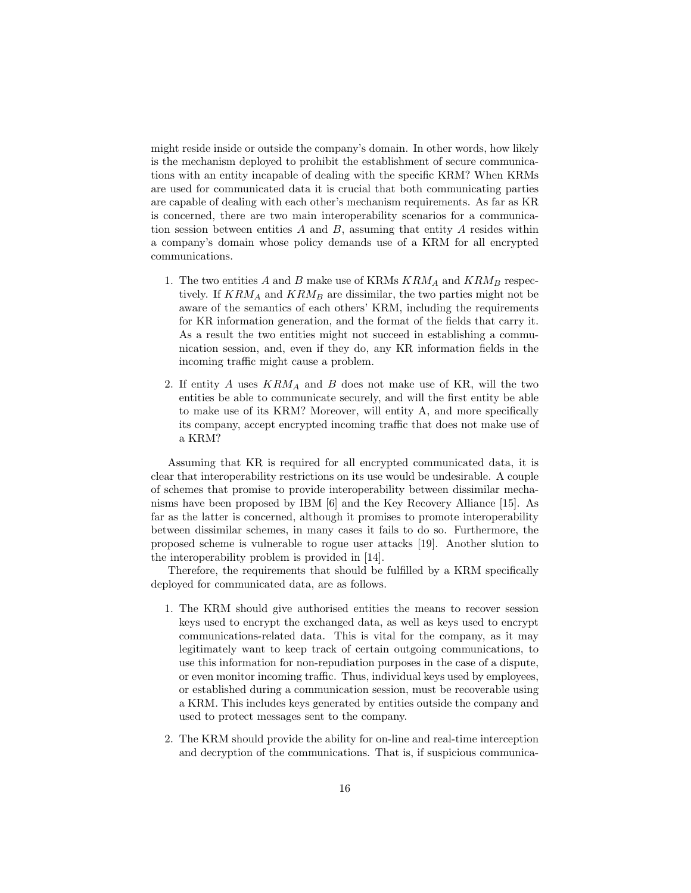might reside inside or outside the company's domain. In other words, how likely is the mechanism deployed to prohibit the establishment of secure communications with an entity incapable of dealing with the specific KRM? When KRMs are used for communicated data it is crucial that both communicating parties are capable of dealing with each other's mechanism requirements. As far as KR is concerned, there are two main interoperability scenarios for a communication session between entities  $A$  and  $B$ , assuming that entity  $A$  resides within a company's domain whose policy demands use of a KRM for all encrypted communications.

- 1. The two entities A and B make use of KRMs  $KRM_A$  and  $KRM_B$  respectively. If  $KRM_A$  and  $KRM_B$  are dissimilar, the two parties might not be aware of the semantics of each others' KRM, including the requirements for KR information generation, and the format of the fields that carry it. As a result the two entities might not succeed in establishing a communication session, and, even if they do, any KR information fields in the incoming traffic might cause a problem.
- 2. If entity  $A$  uses  $KRM_A$  and  $B$  does not make use of KR, will the two entities be able to communicate securely, and will the first entity be able to make use of its KRM? Moreover, will entity A, and more specifically its company, accept encrypted incoming traffic that does not make use of a KRM?

Assuming that KR is required for all encrypted communicated data, it is clear that interoperability restrictions on its use would be undesirable. A couple of schemes that promise to provide interoperability between dissimilar mechanisms have been proposed by IBM [6] and the Key Recovery Alliance [15]. As far as the latter is concerned, although it promises to promote interoperability between dissimilar schemes, in many cases it fails to do so. Furthermore, the proposed scheme is vulnerable to rogue user attacks [19]. Another slution to the interoperability problem is provided in [14].

Therefore, the requirements that should be fulfilled by a KRM specifically deployed for communicated data, are as follows.

- 1. The KRM should give authorised entities the means to recover session keys used to encrypt the exchanged data, as well as keys used to encrypt communications-related data. This is vital for the company, as it may legitimately want to keep track of certain outgoing communications, to use this information for non-repudiation purposes in the case of a dispute, or even monitor incoming traffic. Thus, individual keys used by employees, or established during a communication session, must be recoverable using a KRM. This includes keys generated by entities outside the company and used to protect messages sent to the company.
- 2. The KRM should provide the ability for on-line and real-time interception and decryption of the communications. That is, if suspicious communica-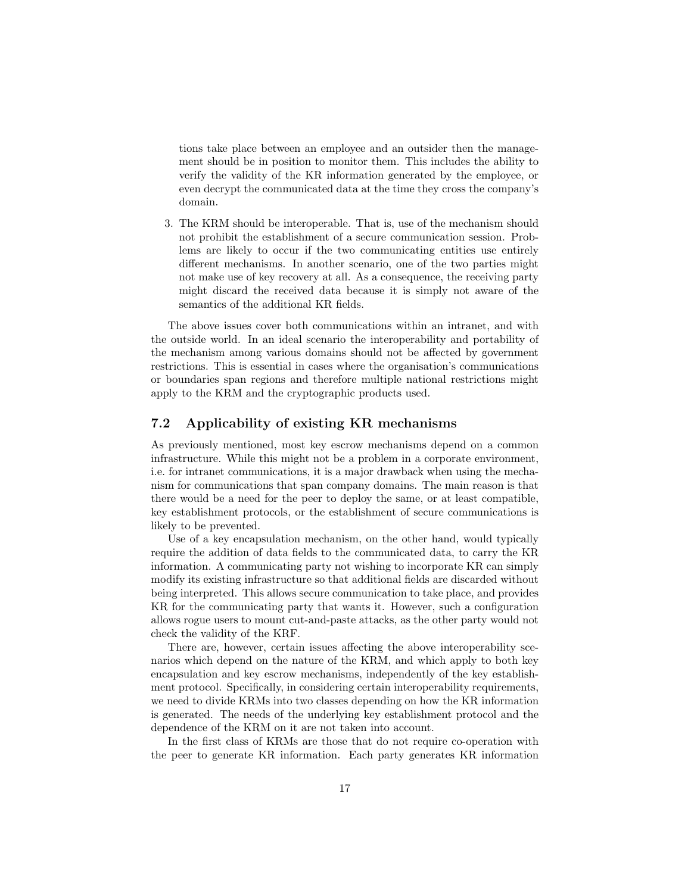tions take place between an employee and an outsider then the management should be in position to monitor them. This includes the ability to verify the validity of the KR information generated by the employee, or even decrypt the communicated data at the time they cross the company's domain.

3. The KRM should be interoperable. That is, use of the mechanism should not prohibit the establishment of a secure communication session. Problems are likely to occur if the two communicating entities use entirely different mechanisms. In another scenario, one of the two parties might not make use of key recovery at all. As a consequence, the receiving party might discard the received data because it is simply not aware of the semantics of the additional KR fields.

The above issues cover both communications within an intranet, and with the outside world. In an ideal scenario the interoperability and portability of the mechanism among various domains should not be affected by government restrictions. This is essential in cases where the organisation's communications or boundaries span regions and therefore multiple national restrictions might apply to the KRM and the cryptographic products used.

### 7.2 Applicability of existing KR mechanisms

As previously mentioned, most key escrow mechanisms depend on a common infrastructure. While this might not be a problem in a corporate environment, i.e. for intranet communications, it is a major drawback when using the mechanism for communications that span company domains. The main reason is that there would be a need for the peer to deploy the same, or at least compatible, key establishment protocols, or the establishment of secure communications is likely to be prevented.

Use of a key encapsulation mechanism, on the other hand, would typically require the addition of data fields to the communicated data, to carry the KR information. A communicating party not wishing to incorporate KR can simply modify its existing infrastructure so that additional fields are discarded without being interpreted. This allows secure communication to take place, and provides KR for the communicating party that wants it. However, such a configuration allows rogue users to mount cut-and-paste attacks, as the other party would not check the validity of the KRF.

There are, however, certain issues affecting the above interoperability scenarios which depend on the nature of the KRM, and which apply to both key encapsulation and key escrow mechanisms, independently of the key establishment protocol. Specifically, in considering certain interoperability requirements, we need to divide KRMs into two classes depending on how the KR information is generated. The needs of the underlying key establishment protocol and the dependence of the KRM on it are not taken into account.

In the first class of KRMs are those that do not require co-operation with the peer to generate KR information. Each party generates KR information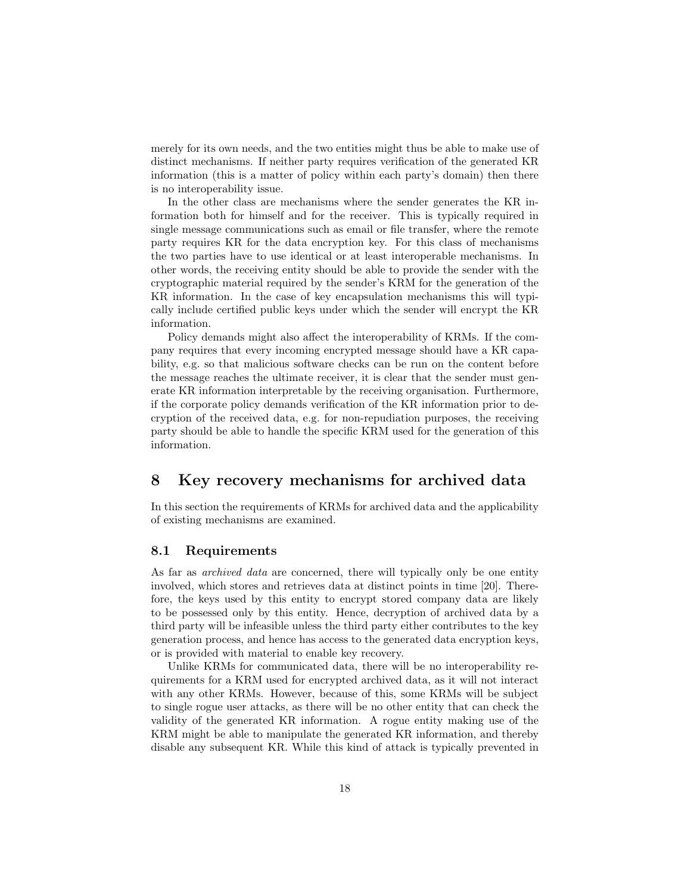merely for its own needs, and the two entities might thus be able to make use of distinct mechanisms. If neither party requires verification of the generated KR information (this is a matter of policy within each party's domain) then there is no interoperability issue.

In the other class are mechanisms where the sender generates the KR information both for himself and for the receiver. This is typically required in single message communications such as email or file transfer, where the remote party requires KR for the data encryption key. For this class of mechanisms the two parties have to use identical or at least interoperable mechanisms. In other words, the receiving entity should be able to provide the sender with the cryptographic material required by the sender's KRM for the generation of the KR information. In the case of key encapsulation mechanisms this will typically include certified public keys under which the sender will encrypt the KR information.

Policy demands might also affect the interoperability of KRMs. If the company requires that every incoming encrypted message should have a KR capability, e.g. so that malicious software checks can be run on the content before the message reaches the ultimate receiver, it is clear that the sender must generate KR information interpretable by the receiving organisation. Furthermore, if the corporate policy demands verification of the KR information prior to decryption of the received data, e.g. for non-repudiation purposes, the receiving party should be able to handle the specific KRM used for the generation of this information.

## 8 Key recovery mechanisms for archived data

In this section the requirements of KRMs for archived data and the applicability of existing mechanisms are examined.

### 8.1 Requirements

As far as *archived data* are concerned, there will typically only be one entity involved, which stores and retrieves data at distinct points in time [20]. Therefore, the keys used by this entity to encrypt stored company data are likely to be possessed only by this entity. Hence, decryption of archived data by a third party will be infeasible unless the third party either contributes to the key generation process, and hence has access to the generated data encryption keys, or is provided with material to enable key recovery.

Unlike KRMs for communicated data, there will be no interoperability requirements for a KRM used for encrypted archived data, as it will not interact with any other KRMs. However, because of this, some KRMs will be subject to single rogue user attacks, as there will be no other entity that can check the validity of the generated KR information. A rogue entity making use of the KRM might be able to manipulate the generated KR information, and thereby disable any subsequent KR. While this kind of attack is typically prevented in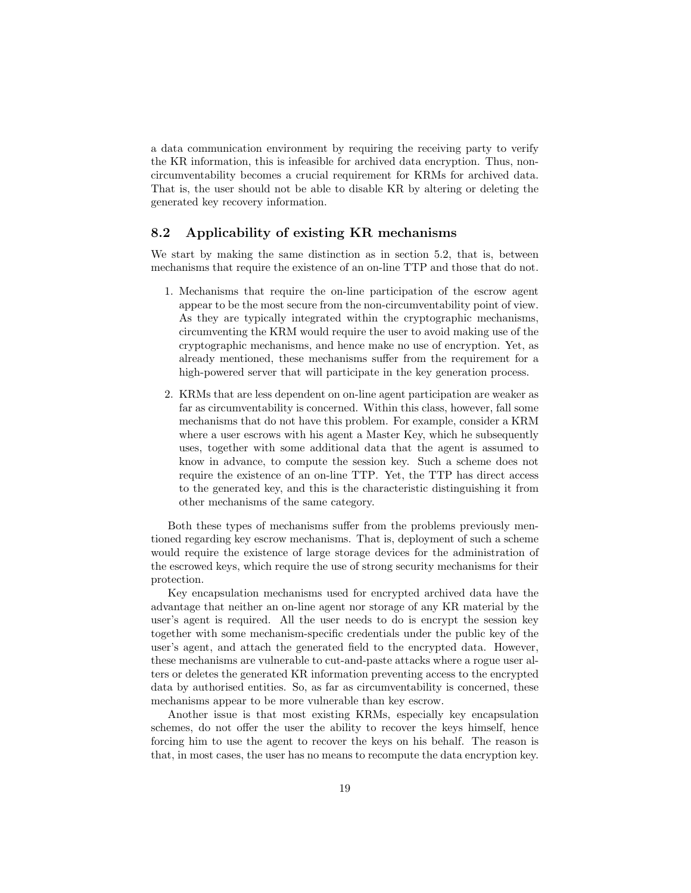a data communication environment by requiring the receiving party to verify the KR information, this is infeasible for archived data encryption. Thus, noncircumventability becomes a crucial requirement for KRMs for archived data. That is, the user should not be able to disable KR by altering or deleting the generated key recovery information.

### 8.2 Applicability of existing KR mechanisms

We start by making the same distinction as in section 5.2, that is, between mechanisms that require the existence of an on-line TTP and those that do not.

- 1. Mechanisms that require the on-line participation of the escrow agent appear to be the most secure from the non-circumventability point of view. As they are typically integrated within the cryptographic mechanisms, circumventing the KRM would require the user to avoid making use of the cryptographic mechanisms, and hence make no use of encryption. Yet, as already mentioned, these mechanisms suffer from the requirement for a high-powered server that will participate in the key generation process.
- 2. KRMs that are less dependent on on-line agent participation are weaker as far as circumventability is concerned. Within this class, however, fall some mechanisms that do not have this problem. For example, consider a KRM where a user escrows with his agent a Master Key, which he subsequently uses, together with some additional data that the agent is assumed to know in advance, to compute the session key. Such a scheme does not require the existence of an on-line TTP. Yet, the TTP has direct access to the generated key, and this is the characteristic distinguishing it from other mechanisms of the same category.

Both these types of mechanisms suffer from the problems previously mentioned regarding key escrow mechanisms. That is, deployment of such a scheme would require the existence of large storage devices for the administration of the escrowed keys, which require the use of strong security mechanisms for their protection.

Key encapsulation mechanisms used for encrypted archived data have the advantage that neither an on-line agent nor storage of any KR material by the user's agent is required. All the user needs to do is encrypt the session key together with some mechanism-specific credentials under the public key of the user's agent, and attach the generated field to the encrypted data. However, these mechanisms are vulnerable to cut-and-paste attacks where a rogue user alters or deletes the generated KR information preventing access to the encrypted data by authorised entities. So, as far as circumventability is concerned, these mechanisms appear to be more vulnerable than key escrow.

Another issue is that most existing KRMs, especially key encapsulation schemes, do not offer the user the ability to recover the keys himself, hence forcing him to use the agent to recover the keys on his behalf. The reason is that, in most cases, the user has no means to recompute the data encryption key.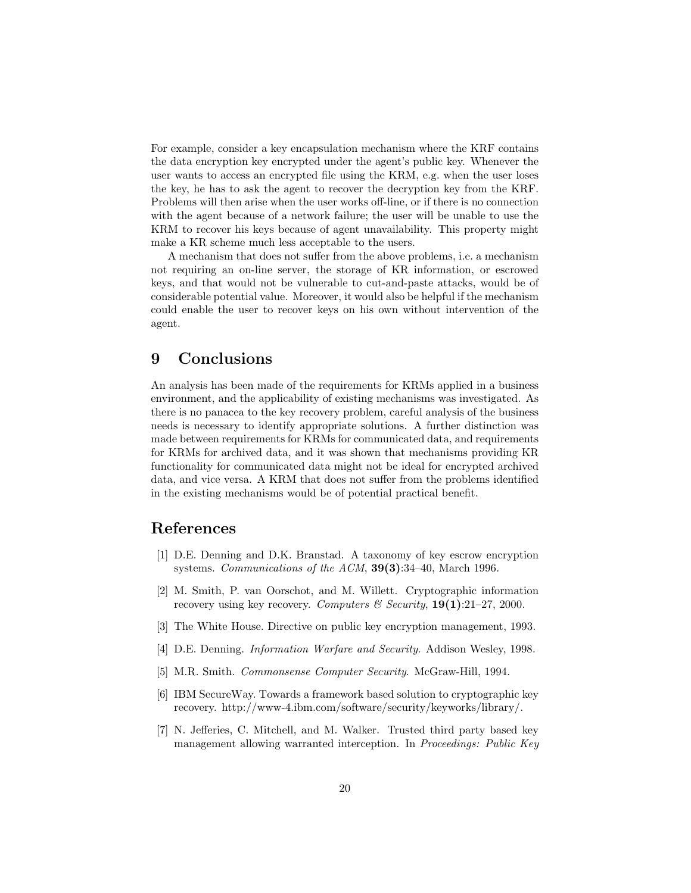For example, consider a key encapsulation mechanism where the KRF contains the data encryption key encrypted under the agent's public key. Whenever the user wants to access an encrypted file using the KRM, e.g. when the user loses the key, he has to ask the agent to recover the decryption key from the KRF. Problems will then arise when the user works off-line, or if there is no connection with the agent because of a network failure; the user will be unable to use the KRM to recover his keys because of agent unavailability. This property might make a KR scheme much less acceptable to the users.

A mechanism that does not suffer from the above problems, i.e. a mechanism not requiring an on-line server, the storage of KR information, or escrowed keys, and that would not be vulnerable to cut-and-paste attacks, would be of considerable potential value. Moreover, it would also be helpful if the mechanism could enable the user to recover keys on his own without intervention of the agent.

### 9 Conclusions

An analysis has been made of the requirements for KRMs applied in a business environment, and the applicability of existing mechanisms was investigated. As there is no panacea to the key recovery problem, careful analysis of the business needs is necessary to identify appropriate solutions. A further distinction was made between requirements for KRMs for communicated data, and requirements for KRMs for archived data, and it was shown that mechanisms providing KR functionality for communicated data might not be ideal for encrypted archived data, and vice versa. A KRM that does not suffer from the problems identified in the existing mechanisms would be of potential practical benefit.

### References

- [1] D.E. Denning and D.K. Branstad. A taxonomy of key escrow encryption systems. Communications of the ACM, 39(3):34–40, March 1996.
- [2] M. Smith, P. van Oorschot, and M. Willett. Cryptographic information recovery using key recovery. Computers & Security,  $19(1):21-27$ , 2000.
- [3] The White House. Directive on public key encryption management, 1993.
- [4] D.E. Denning. Information Warfare and Security. Addison Wesley, 1998.
- [5] M.R. Smith. Commonsense Computer Security. McGraw-Hill, 1994.
- [6] IBM SecureWay. Towards a framework based solution to cryptographic key recovery. http://www-4.ibm.com/software/security/keyworks/library/.
- [7] N. Jefferies, C. Mitchell, and M. Walker. Trusted third party based key management allowing warranted interception. In Proceedings: Public Key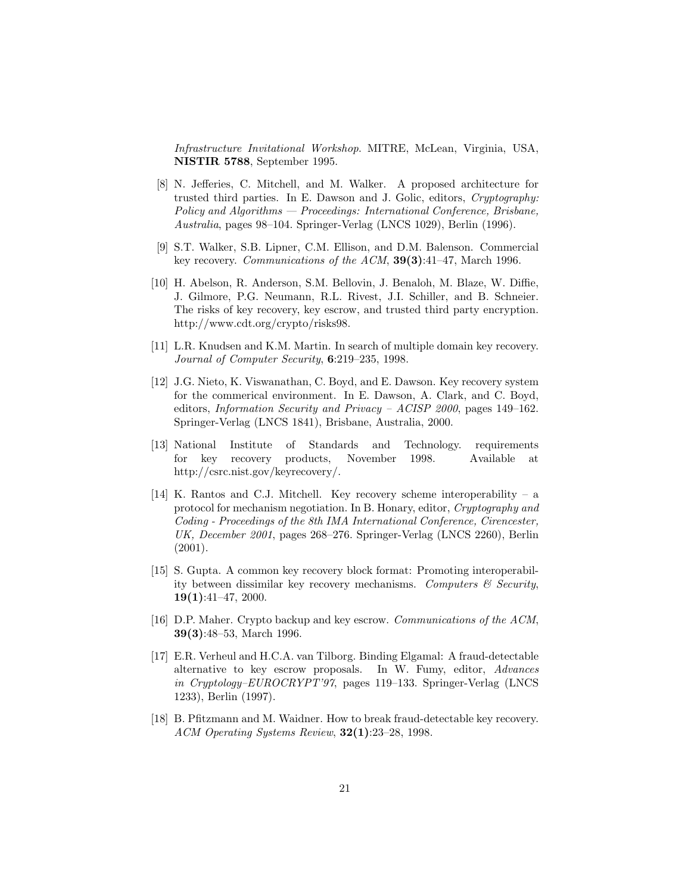Infrastructure Invitational Workshop. MITRE, McLean, Virginia, USA, NISTIR 5788, September 1995.

- [8] N. Jefferies, C. Mitchell, and M. Walker. A proposed architecture for trusted third parties. In E. Dawson and J. Golic, editors, Cryptography: Policy and Algorithms — Proceedings: International Conference, Brisbane, Australia, pages 98–104. Springer-Verlag (LNCS 1029), Berlin (1996).
- [9] S.T. Walker, S.B. Lipner, C.M. Ellison, and D.M. Balenson. Commercial key recovery. *Communications of the ACM*,  $39(3):41-47$ , March 1996.
- [10] H. Abelson, R. Anderson, S.M. Bellovin, J. Benaloh, M. Blaze, W. Diffie, J. Gilmore, P.G. Neumann, R.L. Rivest, J.I. Schiller, and B. Schneier. The risks of key recovery, key escrow, and trusted third party encryption. http://www.cdt.org/crypto/risks98.
- [11] L.R. Knudsen and K.M. Martin. In search of multiple domain key recovery. Journal of Computer Security, 6:219–235, 1998.
- [12] J.G. Nieto, K. Viswanathan, C. Boyd, and E. Dawson. Key recovery system for the commerical environment. In E. Dawson, A. Clark, and C. Boyd, editors, Information Security and Privacy – ACISP 2000, pages 149–162. Springer-Verlag (LNCS 1841), Brisbane, Australia, 2000.
- [13] National Institute of Standards and Technology. requirements for key recovery products, November 1998. Available at http://csrc.nist.gov/keyrecovery/.
- [14] K. Rantos and C.J. Mitchell. Key recovery scheme interoperability a protocol for mechanism negotiation. In B. Honary, editor, Cryptography and Coding - Proceedings of the 8th IMA International Conference, Cirencester, UK, December 2001, pages 268–276. Springer-Verlag (LNCS 2260), Berlin (2001).
- [15] S. Gupta. A common key recovery block format: Promoting interoperability between dissimilar key recovery mechanisms. Computers  $\mathcal C$  Security,  $19(1):41-47, 2000.$
- [16] D.P. Maher. Crypto backup and key escrow. *Communications of the ACM*, 39(3):48–53, March 1996.
- [17] E.R. Verheul and H.C.A. van Tilborg. Binding Elgamal: A fraud-detectable alternative to key escrow proposals. In W. Fumy, editor, Advances in Cryptology–EUROCRYPT'97, pages 119–133. Springer-Verlag (LNCS 1233), Berlin (1997).
- [18] B. Pfitzmann and M. Waidner. How to break fraud-detectable key recovery. ACM Operating Systems Review, 32(1):23–28, 1998.